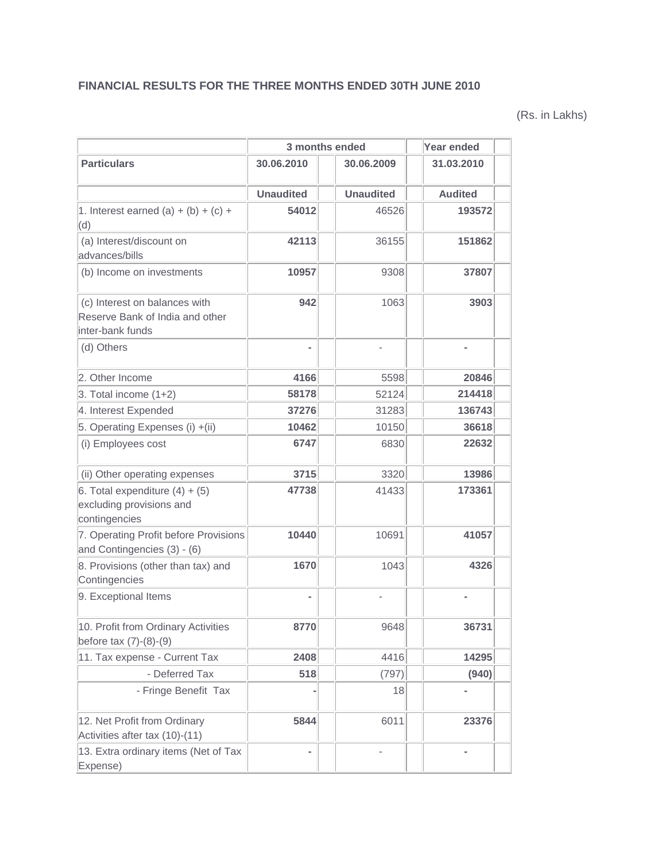## **FINANCIAL RESULTS FOR THE THREE MONTHS ENDED 30TH JUNE 2010**

(Rs. in Lakhs)

|                                                                                      | 3 months ended           |                          | Year ended     |
|--------------------------------------------------------------------------------------|--------------------------|--------------------------|----------------|
| <b>Particulars</b>                                                                   | 30.06.2010<br>30.06.2009 |                          | 31.03.2010     |
|                                                                                      | <b>Unaudited</b>         | <b>Unaudited</b>         | <b>Audited</b> |
| 1. Interest earned (a) + (b) + (c) +<br>(d)                                          | 54012                    | 46526                    | 193572         |
| (a) Interest/discount on<br>advances/bills                                           | 42113                    | 36155                    | 151862         |
| (b) Income on investments                                                            | 10957                    | 9308                     | 37807          |
| (c) Interest on balances with<br>Reserve Bank of India and other<br>inter-bank funds | 942                      | 1063                     | 3903           |
| (d) Others                                                                           | ٠                        | $\overline{\phantom{m}}$ | ٠              |
| 2. Other Income                                                                      | 4166                     | 5598                     | 20846          |
| $3.$ Total income $(1+2)$                                                            | 58178                    | 52124                    | 214418         |
| 4. Interest Expended                                                                 | 37276                    | 31283                    | 136743         |
| 5. Operating Expenses (i) +(ii)                                                      | 10462                    | 10150                    | 36618          |
| (i) Employees cost                                                                   | 6747                     | 6830                     | 22632          |
| (ii) Other operating expenses                                                        | 3715                     | 3320                     | 13986          |
| 6. Total expenditure $(4) + (5)$<br>excluding provisions and<br>contingencies        | 47738                    | 41433                    | 173361         |
| 7. Operating Profit before Provisions<br>and Contingencies (3) - (6)                 | 10440                    | 10691                    | 41057          |
| 8. Provisions (other than tax) and<br>Contingencies                                  | 1670                     | 1043                     | 4326           |
| 9. Exceptional Items                                                                 |                          |                          |                |
| 10. Profit from Ordinary Activities<br>before $tax(7)-(8)-(9)$                       | 8770                     | 9648                     | 36731          |
| 11. Tax expense - Current Tax                                                        | 2408                     | 4416                     | 14295          |
| - Deferred Tax                                                                       | 518                      | (797)                    | (940)          |
| - Fringe Benefit Tax                                                                 |                          | 18                       |                |
| 12. Net Profit from Ordinary<br>Activities after tax (10)-(11)                       | 5844                     | 6011                     | 23376          |
| 13. Extra ordinary items (Net of Tax<br>Expense)                                     | ÷                        |                          |                |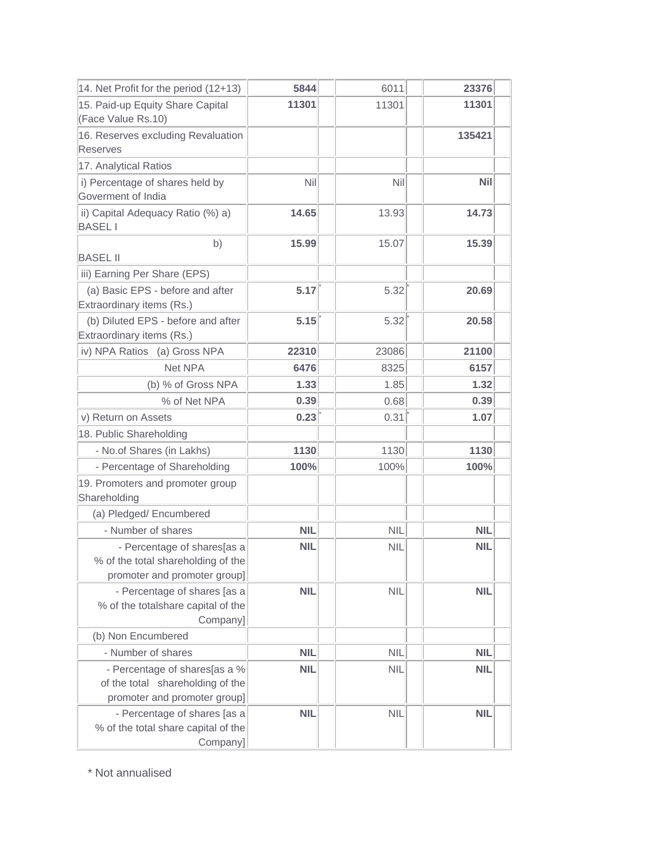| 14. Net Profit for the period (12+13)                                                             | 5844       | 6011       | 23376      |
|---------------------------------------------------------------------------------------------------|------------|------------|------------|
| 15. Paid-up Equity Share Capital                                                                  | 11301      | 11301      | 11301      |
| (Face Value Rs.10)                                                                                |            |            |            |
| 16. Reserves excluding Revaluation                                                                |            |            | 135421     |
| <b>Reserves</b>                                                                                   |            |            |            |
| 17. Analytical Ratios                                                                             |            |            |            |
| i) Percentage of shares held by                                                                   | Nil        | Nil        | <b>Nil</b> |
| Goverment of India                                                                                |            |            |            |
| ii) Capital Adequacy Ratio (%) a)<br><b>BASELI</b>                                                | 14.65      | 13.93      | 14.73      |
| b)                                                                                                | 15.99      | 15.07      | 15.39      |
| <b>BASEL II</b>                                                                                   |            |            |            |
| iii) Earning Per Share (EPS)                                                                      |            |            |            |
| (a) Basic EPS - before and after<br>Extraordinary items (Rs.)                                     | 5.17       | 5.32       | 20.69      |
| (b) Diluted EPS - before and after<br>Extraordinary items (Rs.)                                   | 5.15       | 5.32       | 20.58      |
| iv) NPA Ratios (a) Gross NPA                                                                      | 22310      | 23086      | 21100      |
| Net NPA                                                                                           | 6476       | 8325       | 6157       |
| (b) % of Gross NPA                                                                                | 1.33       | 1.85       | 1.32       |
| % of Net NPA                                                                                      | 0.39       | 0.68       | 0.39       |
| v) Return on Assets                                                                               | 0.23       | 0.31       | 1.07       |
| 18. Public Shareholding                                                                           |            |            |            |
| - No.of Shares (in Lakhs)                                                                         | 1130       | 1130       | 1130       |
| - Percentage of Shareholding                                                                      | 100%       | 100%       | 100%       |
|                                                                                                   |            |            |            |
| 19. Promoters and promoter group<br>Shareholding                                                  |            |            |            |
| (a) Pledged/ Encumbered                                                                           |            |            |            |
| - Number of shares                                                                                | <b>NIL</b> | <b>NIL</b> | <b>NIL</b> |
| - Percentage of shares[as a<br>% of the total shareholding of the<br>promoter and promoter group] | <b>NIL</b> | <b>NIL</b> | <b>NIL</b> |
| - Percentage of shares [as a<br>% of the totalshare capital of the<br>Company]                    | <b>NIL</b> | <b>NIL</b> | <b>NIL</b> |
| (b) Non Encumbered                                                                                |            |            |            |
| - Number of shares                                                                                | <b>NIL</b> | <b>NIL</b> | <b>NIL</b> |
| - Percentage of shares[as a %<br>of the total shareholding of the<br>promoter and promoter group] | <b>NIL</b> | <b>NIL</b> | <b>NIL</b> |
| - Percentage of shares [as a<br>% of the total share capital of the<br>Company]                   | <b>NIL</b> | <b>NIL</b> | <b>NIL</b> |

\* Not annualised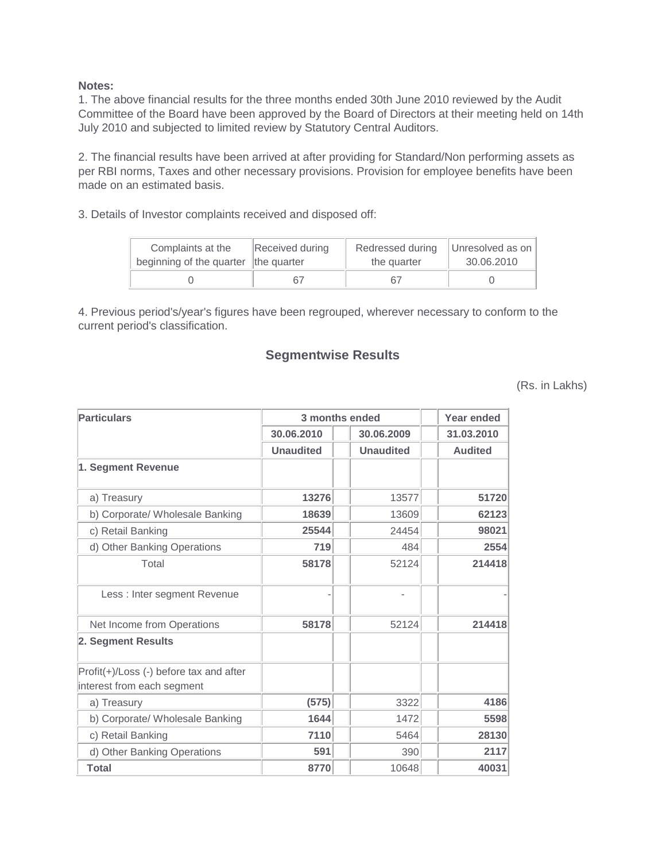## **Notes:**

1. The above financial results for the three months ended 30th June 2010 reviewed by the Audit Committee of the Board have been approved by the Board of Directors at their meeting held on 14th July 2010 and subjected to limited review by Statutory Central Auditors.

2. The financial results have been arrived at after providing for Standard/Non performing assets as per RBI norms, Taxes and other necessary provisions. Provision for employee benefits have been made on an estimated basis.

3. Details of Investor complaints received and disposed off:

| Complaints at the<br>beginning of the quarter the quarter | Received during | Redressed during<br>the quarter | Unresolved as on<br>30.06.2010 |  |
|-----------------------------------------------------------|-----------------|---------------------------------|--------------------------------|--|
|                                                           | 67              |                                 |                                |  |

4. Previous period's/year's figures have been regrouped, wherever necessary to conform to the current period's classification.

## **Segmentwise Results**

(Rs. in Lakhs)

| <b>Particulars</b>                                                    | 3 months ended   | <b>Year ended</b> |                |  |
|-----------------------------------------------------------------------|------------------|-------------------|----------------|--|
|                                                                       | 30.06.2010       | 30.06.2009        | 31.03.2010     |  |
|                                                                       | <b>Unaudited</b> | <b>Unaudited</b>  | <b>Audited</b> |  |
| 1. Segment Revenue                                                    |                  |                   |                |  |
| a) Treasury                                                           | 13276            | 13577             | 51720          |  |
| b) Corporate/ Wholesale Banking                                       | 18639            | 13609             | 62123          |  |
| c) Retail Banking                                                     | 25544            | 24454             | 98021          |  |
| d) Other Banking Operations                                           | 719              | 484               | 2554           |  |
| Total                                                                 | 58178            | 52124             | 214418         |  |
| Less : Inter segment Revenue                                          |                  |                   |                |  |
| Net Income from Operations                                            | 58178            | 52124             | 214418         |  |
| 2. Segment Results                                                    |                  |                   |                |  |
| Profit(+)/Loss (-) before tax and after<br>interest from each segment |                  |                   |                |  |
| a) Treasury                                                           | (575)            | 3322              | 4186           |  |
| b) Corporate/ Wholesale Banking                                       | 1644             | 1472              | 5598           |  |
| c) Retail Banking                                                     | 7110             | 5464              | 28130          |  |
| d) Other Banking Operations                                           | 591              | 390               | 2117           |  |
| <b>Total</b>                                                          | 8770             | 10648             | 40031          |  |